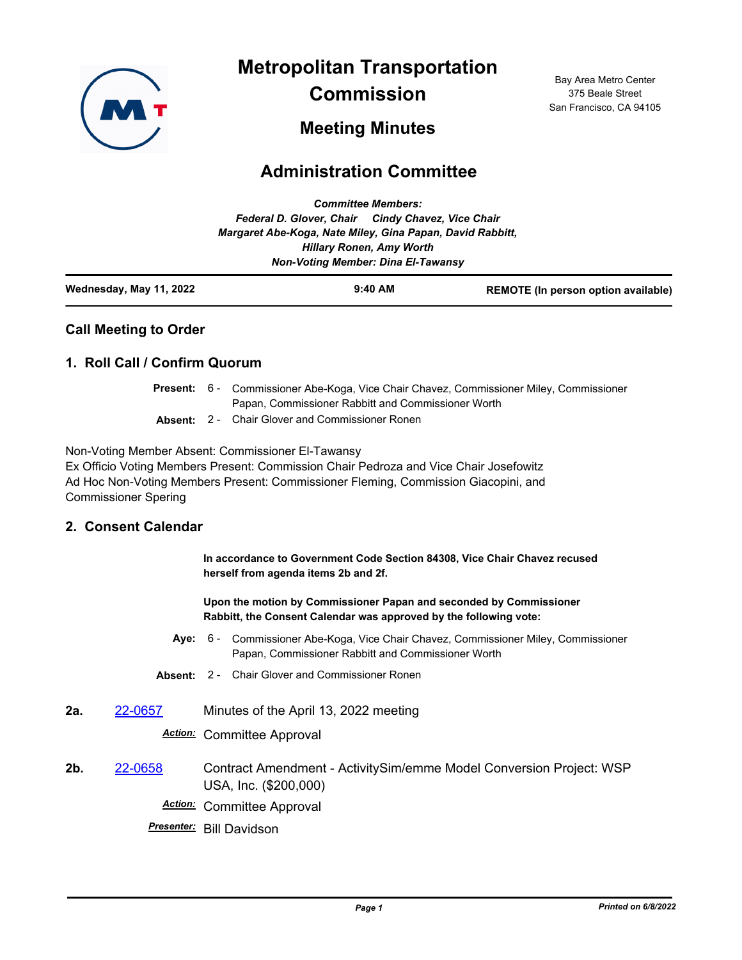

**Metropolitan Transportation Commission**

Bay Area Metro Center 375 Beale Street San Francisco, CA 94105

# **Meeting Minutes**

# **Administration Committee**

| Wednesday, May 11, 2022 |                                                                                              | $9:40$ AM                 | REMOTE (In person option available) |
|-------------------------|----------------------------------------------------------------------------------------------|---------------------------|-------------------------------------|
|                         | <b>Non-Voting Member: Dina El-Tawansy</b>                                                    |                           |                                     |
|                         | Margaret Abe-Koga, Nate Miley, Gina Papan, David Rabbitt,<br><b>Hillary Ronen, Amy Worth</b> |                           |                                     |
|                         | Federal D. Glover, Chair Cindy Chavez, Vice Chair                                            |                           |                                     |
|                         |                                                                                              | <b>Committee Members:</b> |                                     |

### **Call Meeting to Order**

#### **1. Roll Call / Confirm Quorum**

|  | <b>Present:</b> 6 - Commissioner Abe-Koga, Vice Chair Chavez, Commissioner Miley, Commissioner |  |  |
|--|------------------------------------------------------------------------------------------------|--|--|
|  | Papan, Commissioner Rabbitt and Commissioner Worth                                             |  |  |
|  | <b>Absent:</b> 2 - Chair Glover and Commissioner Ronen                                         |  |  |

Non-Voting Member Absent: Commissioner El-Tawansy

Ex Officio Voting Members Present: Commission Chair Pedroza and Vice Chair Josefowitz Ad Hoc Non-Voting Members Present: Commissioner Fleming, Commission Giacopini, and Commissioner Spering

### **2. Consent Calendar**

**In accordance to Government Code Section 84308, Vice Chair Chavez recused herself from agenda items 2b and 2f.**

**Upon the motion by Commissioner Papan and seconded by Commissioner Rabbitt, the Consent Calendar was approved by the following vote:**

- **Aye:** Commissioner Abe-Koga, Vice Chair Chavez, Commissioner Miley, Commissioner Papan, Commissioner Rabbitt and Commissioner Worth Aye: 6 -
- **Absent:** 2 Chair Glover and Commissioner Ronen
- **2a.** [22-0657](http://mtc.legistar.com/gateway.aspx?m=l&id=/matter.aspx?key=23916) Minutes of the April 13, 2022 meeting

*Action:* Committee Approval

- **2b.** [22-0658](http://mtc.legistar.com/gateway.aspx?m=l&id=/matter.aspx?key=23917) Contract Amendment ActivitySim/emme Model Conversion Project: WSP USA, Inc. (\$200,000) *Action:* Committee Approval
	- *Presenter:* Bill Davidson